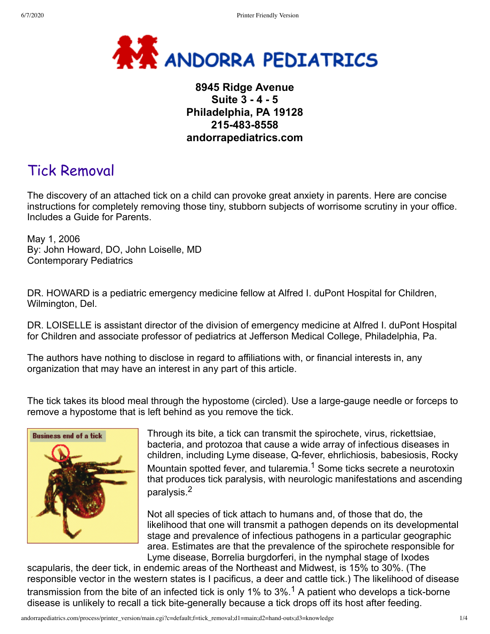

## **8945 Ridge Avenue Suite 3 - 4 - 5 Philadelphia, PA 19128 215-483-8558 andorrapediatrics.com**

# Tick Removal

The discovery of an attached tick on a child can provoke great anxiety in parents. Here are concise instructions for completely removing those tiny, stubborn subjects of worrisome scrutiny in your office. Includes a Guide for Parents.

May 1, 2006 By: John Howard, DO, John Loiselle, MD Contemporary Pediatrics

DR. HOWARD is a pediatric emergency medicine fellow at Alfred I. duPont Hospital for Children, Wilmington, Del.

DR. LOISELLE is assistant director of the division of emergency medicine at Alfred I. duPont Hospital for Children and associate professor of pediatrics at Jefferson Medical College, Philadelphia, Pa.

The authors have nothing to disclose in regard to affiliations with, or financial interests in, any organization that may have an interest in any part of this article.

The tick takes its blood meal through the hypostome (circled). Use a large-gauge needle or forceps to remove a hypostome that is left behind as you remove the tick.



Through its bite, a tick can transmit the spirochete, virus, rickettsiae, bacteria, and protozoa that cause a wide array of infectious diseases in children, including Lyme disease, Q-fever, ehrlichiosis, babesiosis, Rocky Mountain spotted fever, and tularemia.<sup>1</sup> Some ticks secrete a neurotoxin that produces tick paralysis, with neurologic manifestations and ascending paralysis.2

Not all species of tick attach to humans and, of those that do, the likelihood that one will transmit a pathogen depends on its developmental stage and prevalence of infectious pathogens in a particular geographic area. Estimates are that the prevalence of the spirochete responsible for Lyme disease, Borrelia burgdorferi, in the nymphal stage of Ixodes

scapularis, the deer tick, in endemic areas of the Northeast and Midwest, is 15% to 30%. (The responsible vector in the western states is I pacificus, a deer and cattle tick.) The likelihood of disease transmission from the bite of an infected tick is only 1% to 3%.<sup>1</sup> A patient who develops a tick-borne disease is unlikely to recall a tick bite-generally because a tick drops off its host after feeding.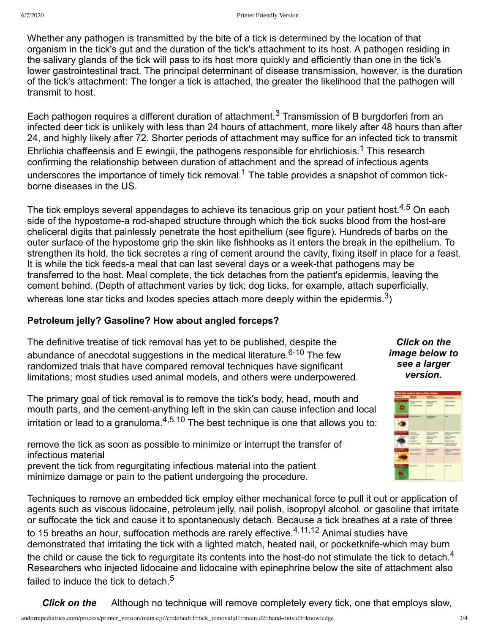Whether any pathogen is transmitted by the bite of a tick is determined by the location of that organism in the tick's gut and the duration of the tick's attachment to its host. A pathogen residing in the salivary glands of the tick will pass to its host more quickly and efficiently than one in the tick's lower gastrointestinal tract. The principal determinant of disease transmission, however, is the duration of the tick's attachment: The longer a tick is attached, the greater the likelihood that the pathogen will transmit to host.

Each pathogen requires a different duration of attachment.<sup>3</sup> Transmission of B burgdorferi from an infected deer tick is unlikely with less than 24 hours of attachment, more likely after 48 hours than after 24, and highly likely after 72. Shorter periods of attachment may suffice for an infected tick to transmit Ehrlichia chaffeensis and E ewingii, the pathogens responsible for ehrlichiosis.<sup>1</sup> This research confirming the relationship between duration of attachment and the spread of infectious agents underscores the importance of timely tick removal.<sup>1</sup> The table provides a snapshot of common tickborne diseases in the US.

The tick employs several appendages to achieve its tenacious grip on your patient host.<sup>4,5</sup> On each side of the hypostome-a rod-shaped structure through which the tick sucks blood from the host-are cheliceral digits that painlessly penetrate the host epithelium (see figure). Hundreds of barbs on the outer surface of the hypostome grip the skin like fishhooks as it enters the break in the epithelium. To strengthen its hold, the tick secretes a ring of cement around the cavity, fixing itself in place for a feast. It is while the tick feeds-a meal that can last several days or a week-that pathogens may be transferred to the host. Meal complete, the tick detaches from the patient's epidermis, leaving the cement behind. (Depth of attachment varies by tick; dog ticks, for example, attach superficially, whereas lone star ticks and Ixodes species attach more deeply within the epidermis.<sup>3</sup>)

## **Petroleum jelly? Gasoline? How about angled forceps?**

The definitive treatise of tick removal has yet to be published, despite the abundance of anecdotal suggestions in the medical literature.<sup>6-10</sup> The few randomized trials that have compared removal techniques have significant limitations; most studies used animal models, and others were underpowered.

The primary goal of tick removal is to remove the tick's body, head, mouth and mouth parts, and the cement-anything left in the skin can cause infection and local irritation or lead to a granuloma. $4,5,10$  The best technique is one that allows you to:

remove the tick as soon as possible to minimize or interrupt the transfer of infectious material prevent the tick from regurgitating infectious material into the patient minimize damage or pain to the patient undergoing the procedure.

Techniques to remove an embedded tick employ either mechanical force to pull it out or application of agents such as viscous lidocaine, petroleum jelly, nail polish, isopropyl alcohol, or gasoline that irritate or suffocate the tick and cause it to spontaneously detach. Because a tick breathes at a rate of three to 15 breaths an hour, suffocation methods are rarely effective.<sup>4,11,12</sup> Animal studies have demonstrated that irritating the tick with a lighted match, heated nail, or pocketknife-which may burn the child or cause the tick to regurgitate its contents into the host-do not stimulate the tick to detach.<sup>4</sup> Researchers who injected lidocaine and lidocaine with epinephrine below the site of attachment also failed to induce the tick to detach.<sup>5</sup>

*Click on the* Although no technique will remove completely every tick, one that employs slow,

*Click on the image below to see a larger version.*

| <b>What fink carriers staff on Their stations</b> |                                                                          |                                                                                           |                                                                                                        |
|---------------------------------------------------|--------------------------------------------------------------------------|-------------------------------------------------------------------------------------------|--------------------------------------------------------------------------------------------------------|
|                                                   | $=$                                                                      | <b>MARK</b>                                                                               | <b>Brown and Children</b>                                                                              |
| ___                                               | <b>Final M</b><br><b>Executively Automatic</b>                           | <b>SELECTION</b><br><b>Monda</b>                                                          | ark Fanland<br><b>State of South</b>                                                                   |
|                                                   | <b>Brazilia</b> career                                                   | <b><i><u>SAN PRAYARE</u></i></b><br><b>SERVICE</b>                                        | <b>Black</b>                                                                                           |
| <b>County Limits</b>                              | <b>Services</b><br>1 phpm<br><b><i>SHOWA</i></b><br><b>Entries shake</b> | <b>COLLEGE</b><br><b><i><u>SEA BOAT</u></i></b><br><b>State</b><br><b>Enda Gravitor o</b> | <b>Britain Ave Mont.</b><br><b>Said Cardinal</b><br>$-$<br><b>Brown Suit</b><br><b>Color color and</b> |
| <b>Contract</b><br>÷.                             | <b>K. Magazine</b><br><b>Excels Argileter</b>                            | <b>START OF</b><br><b>Learn Acesse</b>                                                    | <b>Andreast ages Midson</b><br><b>SALL</b><br>Vandmand, again Michael                                  |
| <b>SALL</b><br><b>COLORED BY</b>                  | <b>Electricity</b>                                                       | <b>Laker &amp; Home</b><br><b>WELFA OF BOORNES</b>                                        | <b>State Council</b>                                                                                   |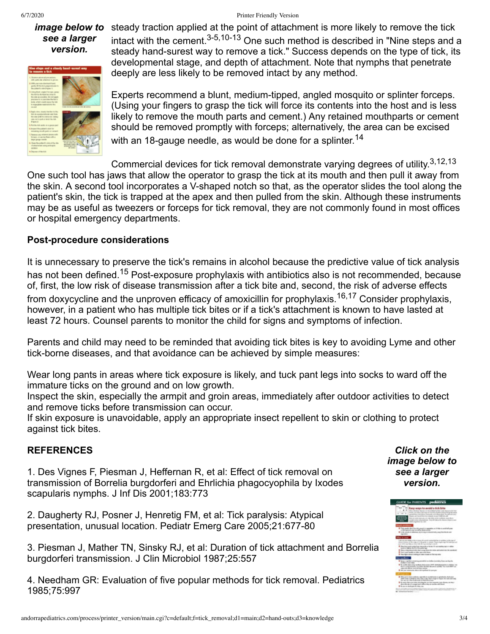#### 6/7/2020 Printer Friendly Version

# *see a larger version.*



image below to steady traction applied at the point of attachment is more likely to remove the tick intact with the cement.3-5,10-13 One such method is described in "Nine steps and a steady hand-surest way to remove a tick." Success depends on the type of tick, its developmental stage, and depth of attachment. Note that nymphs that penetrate deeply are less likely to be removed intact by any method.

> Experts recommend a blunt, medium-tipped, angled mosquito or splinter forceps. (Using your fingers to grasp the tick will force its contents into the host and is less likely to remove the mouth parts and cement.) Any retained mouthparts or cement should be removed promptly with forceps; alternatively, the area can be excised with an 18-gauge needle, as would be done for a splinter.<sup>14</sup>

Commercial devices for tick removal demonstrate varying degrees of utility.<sup>3,12,13</sup> One such tool has jaws that allow the operator to grasp the tick at its mouth and then pull it away from the skin. A second tool incorporates a V-shaped notch so that, as the operator slides the tool along the patient's skin, the tick is trapped at the apex and then pulled from the skin. Although these instruments may be as useful as tweezers or forceps for tick removal, they are not commonly found in most offices or hospital emergency departments.

### **Post-procedure considerations**

It is unnecessary to preserve the tick's remains in alcohol because the predictive value of tick analysis has not been defined.<sup>15</sup> Post-exposure prophylaxis with antibiotics also is not recommended, because of, first, the low risk of disease transmission after a tick bite and, second, the risk of adverse effects from doxycycline and the unproven efficacy of amoxicillin for prophylaxis.<sup>16,17</sup> Consider prophylaxis, however, in a patient who has multiple tick bites or if a tick's attachment is known to have lasted at least 72 hours. Counsel parents to monitor the child for signs and symptoms of infection.

Parents and child may need to be reminded that avoiding tick bites is key to avoiding Lyme and other tick-borne diseases, and that avoidance can be achieved by simple measures:

Wear long pants in areas where tick exposure is likely, and tuck pant legs into socks to ward off the immature ticks on the ground and on low growth.

Inspect the skin, especially the armpit and groin areas, immediately after outdoor activities to detect and remove ticks before transmission can occur.

If skin exposure is unavoidable, apply an appropriate insect repellent to skin or clothing to protect against tick bites.

### **REFERENCES**

1. Des Vignes F, Piesman J, Heffernan R, et al: Effect of tick removal on transmission of Borrelia burgdorferi and Ehrlichia phagocyophila by Ixodes scapularis nymphs. J Inf Dis 2001;183:773

2. Daugherty RJ, Posner J, Henretig FM, et al: Tick paralysis: Atypical presentation, unusual location. Pediatr Emerg Care 2005;21:677-80

3. Piesman J, Mather TN, Sinsky RJ, et al: Duration of tick attachment and Borrelia burgdorferi transmission. J Clin Microbiol 1987;25:557

4. Needham GR: Evaluation of five popular methods for tick removal. Pediatrics 1985;75:997

*Click on the image below to see a larger version.*